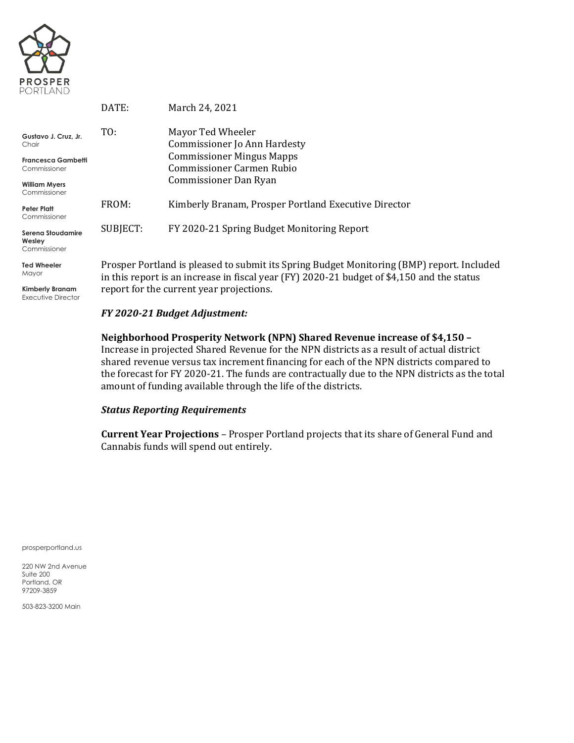

|                                             | DATE:                                                                                                                                                             | March 24, 2021                                       |  |  |
|---------------------------------------------|-------------------------------------------------------------------------------------------------------------------------------------------------------------------|------------------------------------------------------|--|--|
| Gustavo J. Cruz. Jr.                        | TO:                                                                                                                                                               | Mayor Ted Wheeler                                    |  |  |
| Chair                                       |                                                                                                                                                                   | Commissioner Jo Ann Hardesty                         |  |  |
| <b>Francesca Gambetti</b>                   |                                                                                                                                                                   | <b>Commissioner Mingus Mapps</b>                     |  |  |
| Commissioner                                |                                                                                                                                                                   | Commissioner Carmen Rubio                            |  |  |
| <b>William Myers</b><br>Commissioner        |                                                                                                                                                                   | Commissioner Dan Ryan                                |  |  |
| <b>Peter Platt</b><br>Commissioner          | FROM:                                                                                                                                                             | Kimberly Branam, Prosper Portland Executive Director |  |  |
| Serena Stoudamire<br>Wesley<br>Commissioner | SUBJECT:                                                                                                                                                          | FY 2020-21 Spring Budget Monitoring Report           |  |  |
| <b>Ted Wheeler</b><br>Mayor                 | Prosper Portland is pleased to submit its Spring Budget Monitoring (BMP) I<br>in this report is an increase in fiscal wear (EV) $2020-21$ budget of $\&4.150$ and |                                                      |  |  |

**Kimberly Branam** Executive Director

eport. Included in this report is an increase in fiscal year (FY) 2020-21 budget of \$4,150 and the status report for the current year projections.

### *FY 2020-21 Budget Adjustment:*

**Neighborhood Prosperity Network (NPN) Shared Revenue increase of \$4,150 –** Increase in projected Shared Revenue for the NPN districts as a result of actual district shared revenue versus tax increment financing for each of the NPN districts compared to the forecast for FY 2020-21. The funds are contractually due to the NPN districts as the total amount of funding available through the life of the districts.

### *Status Reporting Requirements*

**Current Year Projections** – Prosper Portland projects that its share of General Fund and Cannabis funds will spend out entirely.

prosperportland.us

220 NW 2nd Avenue Suite 200 Portland, OR 97209-3859

503-823-3200 Main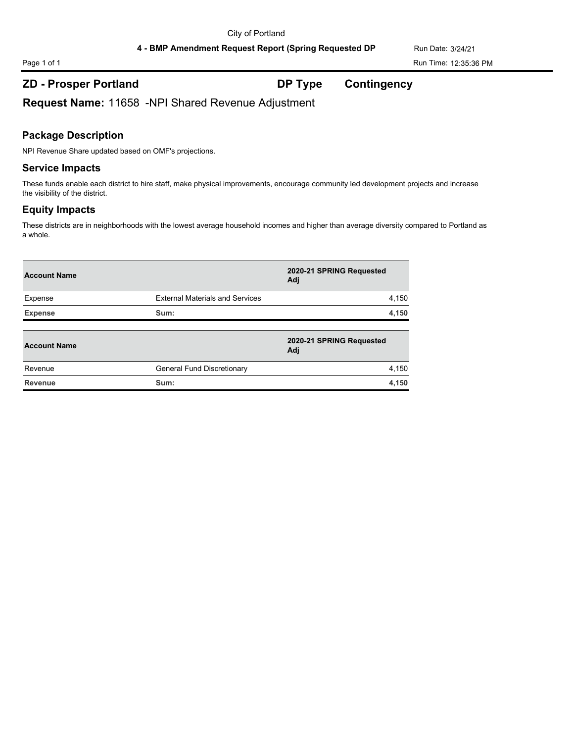4 - BMP Amendment Request Report (Spring Requested DP Run Date: 3/24/21

Page 1 of 1 Run Time: 12:35:36 PM

# **ZD - Prosper Portland DP Type Contingency**

**Request Name:** 11658 -NPI Shared Revenue Adjustment

# **Package Description**

NPI Revenue Share updated based on OMF's projections.

### **Service Impacts**

These funds enable each district to hire staff, make physical improvements, encourage community led development projects and increase the visibility of the district.

# **Equity Impacts**

These districts are in neighborhoods with the lowest average household incomes and higher than average diversity compared to Portland as a whole.

| <b>Account Name</b> |                                        | 2020-21 SPRING Requested<br>Adj |
|---------------------|----------------------------------------|---------------------------------|
| Expense             | <b>External Materials and Services</b> | 4,150                           |
| <b>Expense</b>      | Sum:                                   | 4,150                           |
| <b>Account Name</b> |                                        | 2020-21 SPRING Requested<br>Adj |
| Revenue             | General Fund Discretionary             | 4,150                           |
| Revenue             | Sum:                                   | 4,150                           |